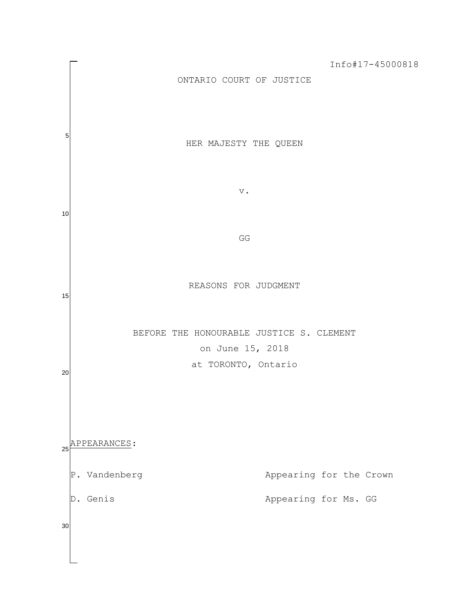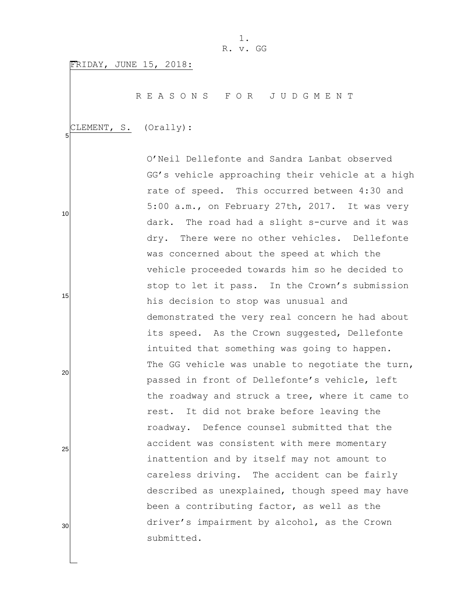FRIDAY, JUNE 15, 2018:

R E A S O N S F O R J U D G M E N T

CLEMENT, S. (Orally):

5

10

15

20

25

30

O"Neil Dellefonte and Sandra Lanbat observed GG"s vehicle approaching their vehicle at a high rate of speed. This occurred between 4:30 and 5:00 a.m., on February 27th, 2017. It was very dark. The road had a slight s-curve and it was dry. There were no other vehicles. Dellefonte was concerned about the speed at which the vehicle proceeded towards him so he decided to stop to let it pass. In the Crown"s submission his decision to stop was unusual and demonstrated the very real concern he had about its speed. As the Crown suggested, Dellefonte intuited that something was going to happen. The GG vehicle was unable to negotiate the turn, passed in front of Dellefonte"s vehicle, left the roadway and struck a tree, where it came to rest. It did not brake before leaving the roadway. Defence counsel submitted that the accident was consistent with mere momentary inattention and by itself may not amount to careless driving. The accident can be fairly described as unexplained, though speed may have been a contributing factor, as well as the driver's impairment by alcohol, as the Crown submitted.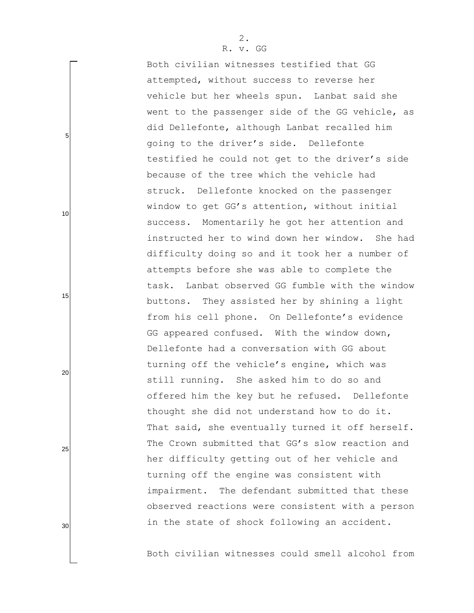Both civilian witnesses testified that GG attempted, without success to reverse her vehicle but her wheels spun. Lanbat said she went to the passenger side of the GG vehicle, as did Dellefonte, although Lanbat recalled him going to the driver"s side. Dellefonte testified he could not get to the driver"s side because of the tree which the vehicle had struck. Dellefonte knocked on the passenger window to get GG"s attention, without initial success. Momentarily he got her attention and instructed her to wind down her window. She had difficulty doing so and it took her a number of attempts before she was able to complete the task. Lanbat observed GG fumble with the window buttons. They assisted her by shining a light from his cell phone. On Dellefonte's evidence GG appeared confused. With the window down, Dellefonte had a conversation with GG about turning off the vehicle"s engine, which was still running. She asked him to do so and offered him the key but he refused. Dellefonte thought she did not understand how to do it. That said, she eventually turned it off herself. The Crown submitted that GG's slow reaction and her difficulty getting out of her vehicle and turning off the engine was consistent with impairment. The defendant submitted that these observed reactions were consistent with a person in the state of shock following an accident.

Both civilian witnesses could smell alcohol from

5

10

15

20

25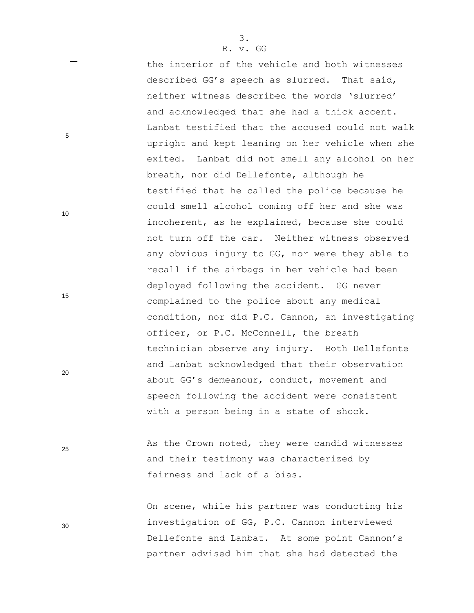the interior of the vehicle and both witnesses described GG"s speech as slurred. That said, neither witness described the words "slurred" and acknowledged that she had a thick accent. Lanbat testified that the accused could not walk upright and kept leaning on her vehicle when she exited. Lanbat did not smell any alcohol on her breath, nor did Dellefonte, although he testified that he called the police because he could smell alcohol coming off her and she was incoherent, as he explained, because she could not turn off the car. Neither witness observed any obvious injury to GG, nor were they able to recall if the airbags in her vehicle had been deployed following the accident. GG never complained to the police about any medical condition, nor did P.C. Cannon, an investigating officer, or P.C. McConnell, the breath technician observe any injury. Both Dellefonte and Lanbat acknowledged that their observation about GG"s demeanour, conduct, movement and speech following the accident were consistent with a person being in a state of shock.

As the Crown noted, they were candid witnesses and their testimony was characterized by fairness and lack of a bias.

On scene, while his partner was conducting his investigation of GG, P.C. Cannon interviewed Dellefonte and Lanbat. At some point Cannon's partner advised him that she had detected the

20

5

10

15

25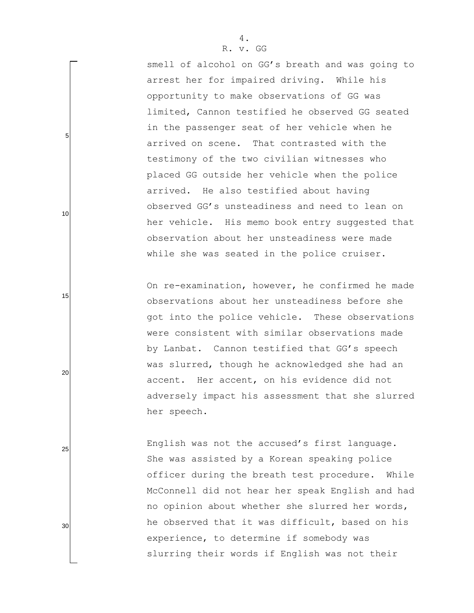smell of alcohol on GG's breath and was going to arrest her for impaired driving. While his opportunity to make observations of GG was limited, Cannon testified he observed GG seated in the passenger seat of her vehicle when he arrived on scene. That contrasted with the testimony of the two civilian witnesses who placed GG outside her vehicle when the police arrived. He also testified about having observed GG"s unsteadiness and need to lean on her vehicle. His memo book entry suggested that observation about her unsteadiness were made while she was seated in the police cruiser.

On re-examination, however, he confirmed he made observations about her unsteadiness before she got into the police vehicle. These observations were consistent with similar observations made by Lanbat. Cannon testified that GG's speech was slurred, though he acknowledged she had an accent. Her accent, on his evidence did not adversely impact his assessment that she slurred her speech.

English was not the accused's first language. She was assisted by a Korean speaking police officer during the breath test procedure. While McConnell did not hear her speak English and had no opinion about whether she slurred her words, he observed that it was difficult, based on his experience, to determine if somebody was slurring their words if English was not their

25

20

5

10

15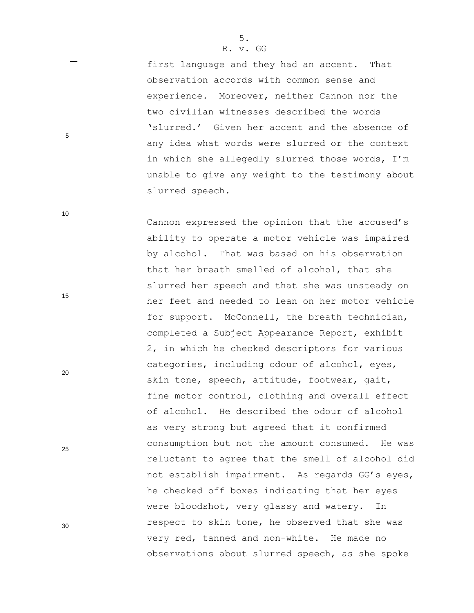first language and they had an accent. That observation accords with common sense and experience. Moreover, neither Cannon nor the two civilian witnesses described the words 'slurred.' Given her accent and the absence of any idea what words were slurred or the context in which she allegedly slurred those words, I"m unable to give any weight to the testimony about slurred speech.

Cannon expressed the opinion that the accused's ability to operate a motor vehicle was impaired by alcohol. That was based on his observation that her breath smelled of alcohol, that she slurred her speech and that she was unsteady on her feet and needed to lean on her motor vehicle for support. McConnell, the breath technician, completed a Subject Appearance Report, exhibit 2, in which he checked descriptors for various categories, including odour of alcohol, eyes, skin tone, speech, attitude, footwear, gait, fine motor control, clothing and overall effect of alcohol. He described the odour of alcohol as very strong but agreed that it confirmed consumption but not the amount consumed. He was reluctant to agree that the smell of alcohol did not establish impairment. As regards GG"s eyes, he checked off boxes indicating that her eyes were bloodshot, very glassy and watery. In respect to skin tone, he observed that she was very red, tanned and non-white. He made no observations about slurred speech, as she spoke

5. R. v. GG

# 30

25

5

10

15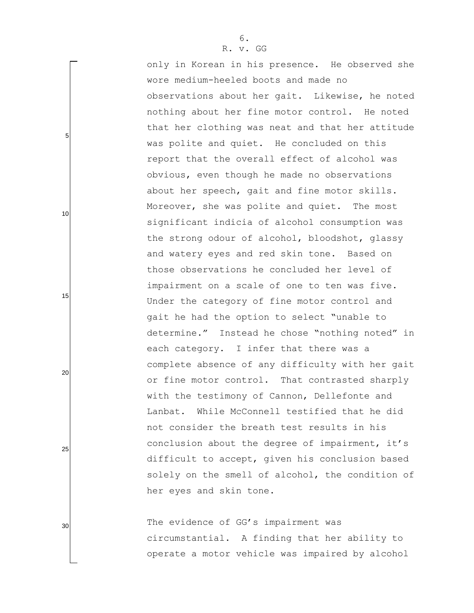only in Korean in his presence. He observed she wore medium-heeled boots and made no observations about her gait. Likewise, he noted nothing about her fine motor control. He noted that her clothing was neat and that her attitude was polite and quiet. He concluded on this report that the overall effect of alcohol was obvious, even though he made no observations about her speech, gait and fine motor skills. Moreover, she was polite and quiet. The most significant indicia of alcohol consumption was the strong odour of alcohol, bloodshot, glassy and watery eyes and red skin tone. Based on those observations he concluded her level of impairment on a scale of one to ten was five. Under the category of fine motor control and gait he had the option to select "unable to determine." Instead he chose "nothing noted" in each category. I infer that there was a complete absence of any difficulty with her gait or fine motor control. That contrasted sharply with the testimony of Cannon, Dellefonte and Lanbat. While McConnell testified that he did not consider the breath test results in his conclusion about the degree of impairment, it's difficult to accept, given his conclusion based solely on the smell of alcohol, the condition of her eyes and skin tone.

The evidence of GG's impairment was circumstantial. A finding that her ability to operate a motor vehicle was impaired by alcohol

25

5

10

15

20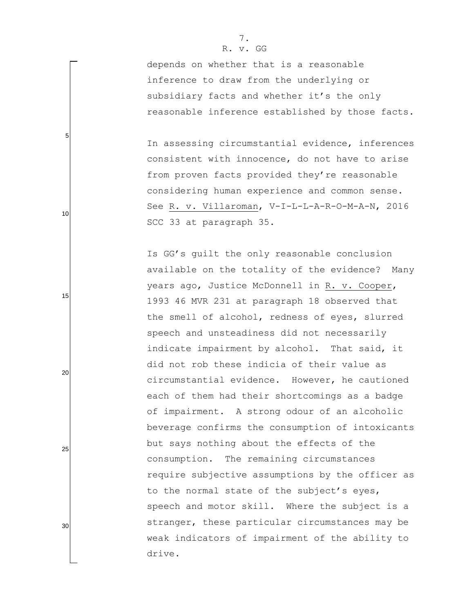5

10

15

20

25

30

depends on whether that is a reasonable inference to draw from the underlying or subsidiary facts and whether it's the only reasonable inference established by those facts.

In assessing circumstantial evidence, inferences consistent with innocence, do not have to arise from proven facts provided they're reasonable considering human experience and common sense. See R. v. Villaroman, V-I-L-L-A-R-O-M-A-N, 2016 SCC 33 at paragraph 35.

Is GG's quilt the only reasonable conclusion available on the totality of the evidence? Many years ago, Justice McDonnell in R. v. Cooper, 1993 46 MVR 231 at paragraph 18 observed that the smell of alcohol, redness of eyes, slurred speech and unsteadiness did not necessarily indicate impairment by alcohol. That said, it did not rob these indicia of their value as circumstantial evidence. However, he cautioned each of them had their shortcomings as a badge of impairment. A strong odour of an alcoholic beverage confirms the consumption of intoxicants but says nothing about the effects of the consumption. The remaining circumstances require subjective assumptions by the officer as to the normal state of the subject's eyes, speech and motor skill. Where the subject is a stranger, these particular circumstances may be weak indicators of impairment of the ability to drive.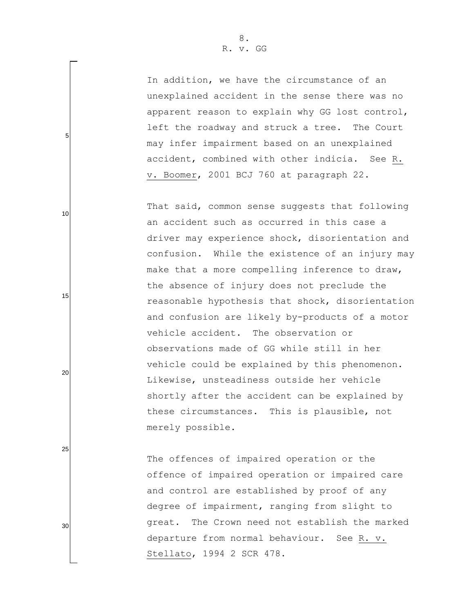5

10

15

20

25

30

In addition, we have the circumstance of an unexplained accident in the sense there was no apparent reason to explain why GG lost control, left the roadway and struck a tree. The Court may infer impairment based on an unexplained accident, combined with other indicia. See R. v. Boomer, 2001 BCJ 760 at paragraph 22.

That said, common sense suggests that following an accident such as occurred in this case a driver may experience shock, disorientation and confusion. While the existence of an injury may make that a more compelling inference to draw, the absence of injury does not preclude the reasonable hypothesis that shock, disorientation and confusion are likely by-products of a motor vehicle accident. The observation or observations made of GG while still in her vehicle could be explained by this phenomenon. Likewise, unsteadiness outside her vehicle shortly after the accident can be explained by these circumstances. This is plausible, not merely possible.

The offences of impaired operation or the offence of impaired operation or impaired care and control are established by proof of any degree of impairment, ranging from slight to great. The Crown need not establish the marked departure from normal behaviour. See R. v. Stellato, 1994 2 SCR 478.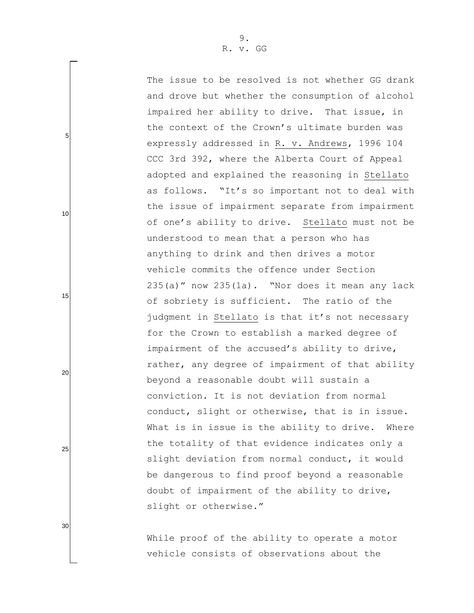The issue to be resolved is not whether GG drank and drove but whether the consumption of alcohol impaired her ability to drive. That issue, in the context of the Crown"s ultimate burden was expressly addressed in R. v. Andrews, 1996 104 CCC 3rd 392, where the Alberta Court of Appeal adopted and explained the reasoning in Stellato as follows. "It's so important not to deal with the issue of impairment separate from impairment of one"s ability to drive. Stellato must not be understood to mean that a person who has anything to drink and then drives a motor vehicle commits the offence under Section  $235(a)$  " now  $235(1a)$ . "Nor does it mean any lack of sobriety is sufficient. The ratio of the judgment in Stellato is that it's not necessary for the Crown to establish a marked degree of impairment of the accused's ability to drive, rather, any degree of impairment of that ability beyond a reasonable doubt will sustain a conviction. It is not deviation from normal conduct, slight or otherwise, that is in issue. What is in issue is the ability to drive. Where the totality of that evidence indicates only a slight deviation from normal conduct, it would be dangerous to find proof beyond a reasonable doubt of impairment of the ability to drive, slight or otherwise."

While proof of the ability to operate a motor vehicle consists of observations about the

30

5

10

15

20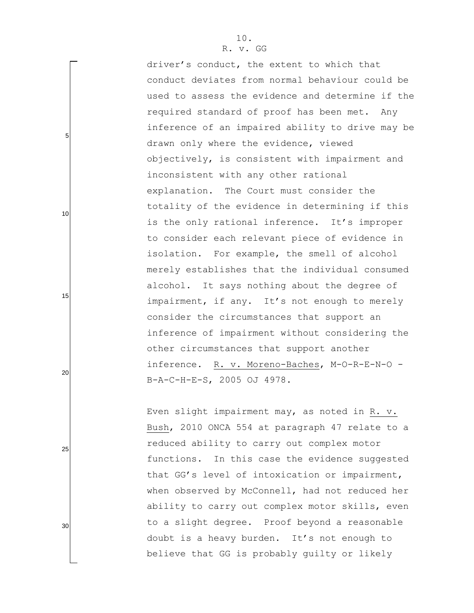driver's conduct, the extent to which that conduct deviates from normal behaviour could be used to assess the evidence and determine if the required standard of proof has been met. Any inference of an impaired ability to drive may be drawn only where the evidence, viewed objectively, is consistent with impairment and inconsistent with any other rational explanation. The Court must consider the totality of the evidence in determining if this is the only rational inference. It's improper to consider each relevant piece of evidence in isolation. For example, the smell of alcohol merely establishes that the individual consumed alcohol. It says nothing about the degree of impairment, if any. It's not enough to merely consider the circumstances that support an inference of impairment without considering the other circumstances that support another inference. R. v. Moreno-Baches, M-O-R-E-N-O - B-A-C-H-E-S, 2005 OJ 4978.

Even slight impairment may, as noted in R. v. Bush, 2010 ONCA 554 at paragraph 47 relate to a reduced ability to carry out complex motor functions. In this case the evidence suggested that GG"s level of intoxication or impairment, when observed by McConnell, had not reduced her ability to carry out complex motor skills, even to a slight degree. Proof beyond a reasonable doubt is a heavy burden. It"s not enough to believe that GG is probably guilty or likely

20

5

10

15

25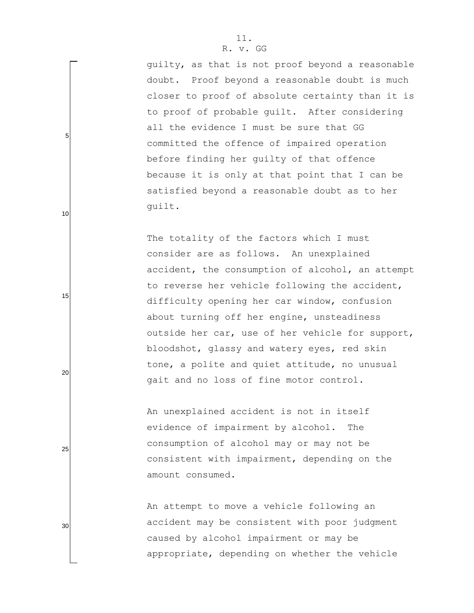guilty, as that is not proof beyond a reasonable doubt. Proof beyond a reasonable doubt is much closer to proof of absolute certainty than it is to proof of probable guilt. After considering all the evidence I must be sure that GG committed the offence of impaired operation before finding her guilty of that offence because it is only at that point that I can be satisfied beyond a reasonable doubt as to her guilt.

The totality of the factors which I must consider are as follows. An unexplained accident, the consumption of alcohol, an attempt to reverse her vehicle following the accident, difficulty opening her car window, confusion about turning off her engine, unsteadiness outside her car, use of her vehicle for support, bloodshot, glassy and watery eyes, red skin tone, a polite and quiet attitude, no unusual gait and no loss of fine motor control.

An unexplained accident is not in itself evidence of impairment by alcohol. The consumption of alcohol may or may not be consistent with impairment, depending on the amount consumed.

An attempt to move a vehicle following an accident may be consistent with poor judgment caused by alcohol impairment or may be appropriate, depending on whether the vehicle

25

5

10

15

20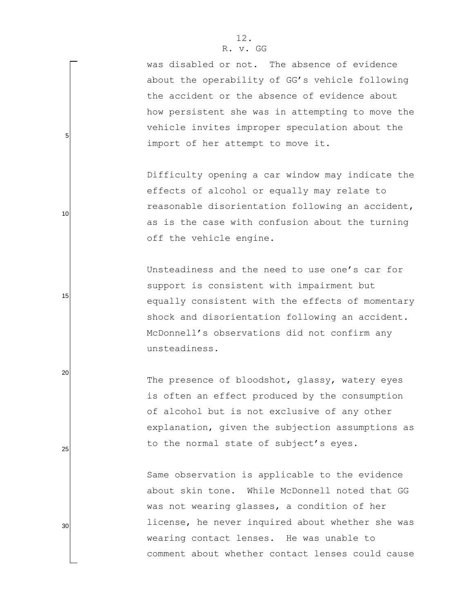5

10

15

20

25

30

was disabled or not. The absence of evidence about the operability of GG"s vehicle following the accident or the absence of evidence about how persistent she was in attempting to move the vehicle invites improper speculation about the import of her attempt to move it.

Difficulty opening a car window may indicate the effects of alcohol or equally may relate to reasonable disorientation following an accident, as is the case with confusion about the turning off the vehicle engine.

Unsteadiness and the need to use one"s car for support is consistent with impairment but equally consistent with the effects of momentary shock and disorientation following an accident. McDonnell"s observations did not confirm any unsteadiness.

The presence of bloodshot, glassy, watery eyes is often an effect produced by the consumption of alcohol but is not exclusive of any other explanation, given the subjection assumptions as to the normal state of subject's eyes.

Same observation is applicable to the evidence about skin tone. While McDonnell noted that GG was not wearing glasses, a condition of her license, he never inquired about whether she was wearing contact lenses. He was unable to comment about whether contact lenses could cause

12.